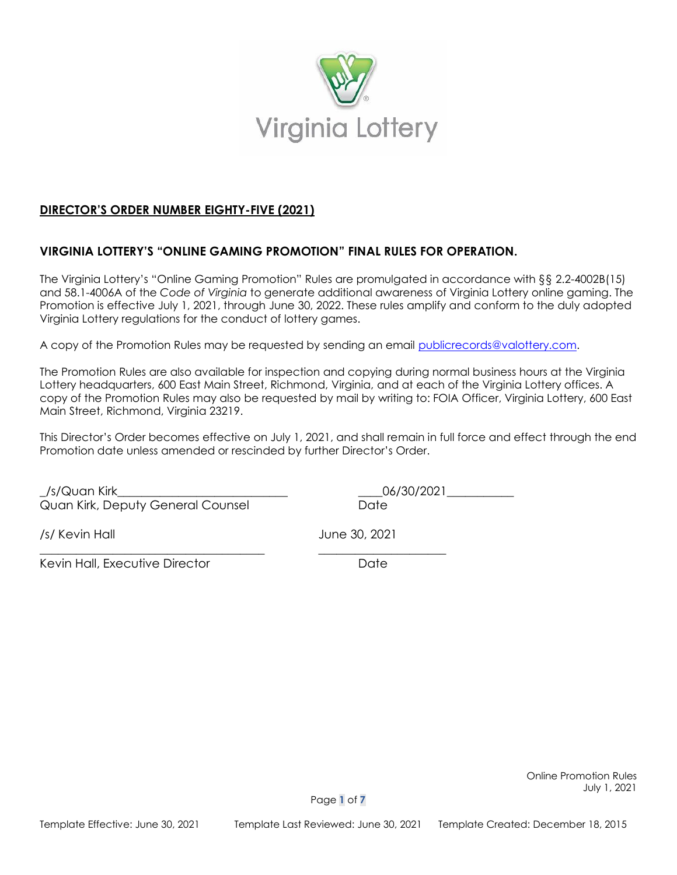

# **DIRECTOR'S ORDER NUMBER EIGHTY-FIVE (2021)**

## **VIRGINIA LOTTERY'S "ONLINE GAMING PROMOTION" FINAL RULES FOR OPERATION.**

The Virginia Lottery's "Online Gaming Promotion" Rules are promulgated in accordance with §§ 2.2-4002B(15) and 58.1-4006A of the *Code of Virginia* to generate additional awareness of Virginia Lottery online gaming. The Promotion is effective July 1, 2021, through June 30, 2022. These rules amplify and conform to the duly adopted Virginia Lottery regulations for the conduct of lottery games.

A copy of the Promotion Rules may be requested by sending an email [publicrecords@valottery.com.](mailto:publicrecords@valottery.com)

The Promotion Rules are also available for inspection and copying during normal business hours at the Virginia Lottery headquarters, 600 East Main Street, Richmond, Virginia, and at each of the Virginia Lottery offices. A copy of the Promotion Rules may also be requested by mail by writing to: FOIA Officer, Virginia Lottery, 600 East Main Street, Richmond, Virginia 23219.

This Director's Order becomes effective on July 1, 2021, and shall remain in full force and effect through the end Promotion date unless amended or rescinded by further Director's Order.

\_/s/Quan Kirk\_\_\_\_\_\_\_\_\_\_\_\_\_\_\_\_\_\_\_\_\_\_\_\_\_\_\_\_ \_\_\_\_06/30/2021\_\_\_\_\_\_\_\_\_\_\_ Quan Kirk, Deputy General Counsel **Date** Date

/s/ Kevin Hall June 30, 2021

Kevin Hall, Executive Director **Example 2018** Date

\_\_\_\_\_\_\_\_\_\_\_\_\_\_\_\_\_\_\_\_\_\_\_\_\_\_\_\_\_\_\_\_\_\_\_\_\_ \_\_\_\_\_\_\_\_\_\_\_\_\_\_\_\_\_\_\_\_\_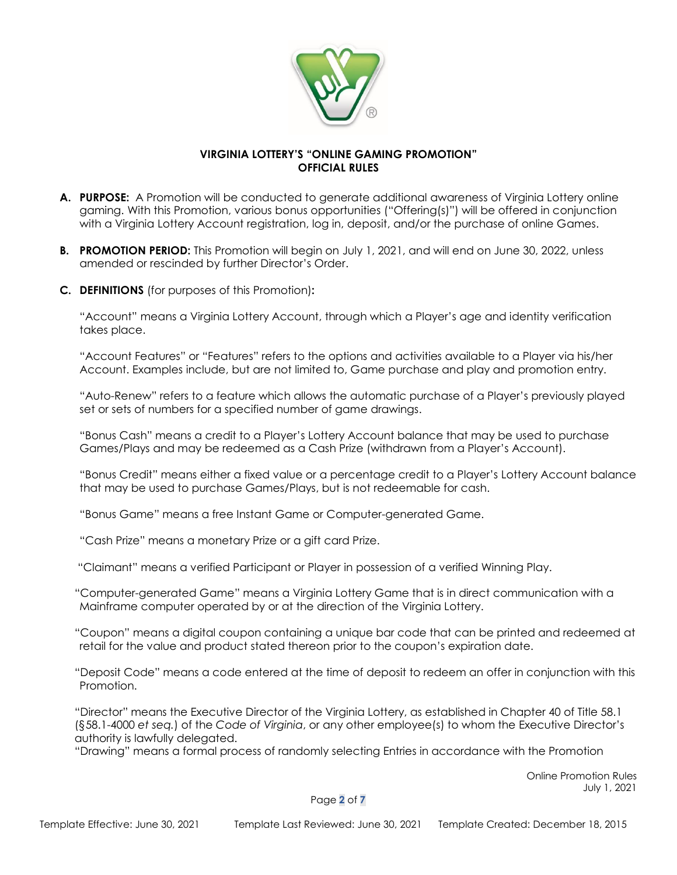

### **VIRGINIA LOTTERY'S "ONLINE GAMING PROMOTION" OFFICIAL RULES**

- **A. PURPOSE:** A Promotion will be conducted to generate additional awareness of Virginia Lottery online gaming. With this Promotion, various bonus opportunities ("Offering(s)") will be offered in conjunction with a Virginia Lottery Account registration, log in, deposit, and/or the purchase of online Games.
- **B. PROMOTION PERIOD:** This Promotion will begin on July 1, 2021, and will end on June 30, 2022, unless amended or rescinded by further Director's Order.
- **C. DEFINITIONS** (for purposes of this Promotion)**:**

"Account" means a Virginia Lottery Account, through which a Player's age and identity verification takes place.

"Account Features" or "Features" refers to the options and activities available to a Player via his/her Account. Examples include, but are not limited to, Game purchase and play and promotion entry.

"Auto-Renew" refers to a feature which allows the automatic purchase of a Player's previously played set or sets of numbers for a specified number of game drawings.

"Bonus Cash" means a credit to a Player's Lottery Account balance that may be used to purchase Games/Plays and may be redeemed as a Cash Prize (withdrawn from a Player's Account).

"Bonus Credit" means either a fixed value or a percentage credit to a Player's Lottery Account balance that may be used to purchase Games/Plays, but is not redeemable for cash.

"Bonus Game" means a free Instant Game or Computer-generated Game.

"Cash Prize" means a monetary Prize or a gift card Prize.

"Claimant" means a verified Participant or Player in possession of a verified Winning Play.

- "Computer-generated Game" means a Virginia Lottery Game that is in direct communication with a Mainframe computer operated by or at the direction of the Virginia Lottery.
- "Coupon" means a digital coupon containing a unique bar code that can be printed and redeemed at retail for the value and product stated thereon prior to the coupon's expiration date.
- "Deposit Code" means a code entered at the time of deposit to redeem an offer in conjunction with this Promotion.

"Director" means the Executive Director of the Virginia Lottery, as established in Chapter 40 of Title 58.1 (§58.1-4000 *et seq.*) of the *Code of Virginia*, or any other employee(s) to whom the Executive Director's authority is lawfully delegated.

"Drawing" means a formal process of randomly selecting Entries in accordance with the Promotion

 Online Promotion Rules July 1, 2021

Page **2** of **7**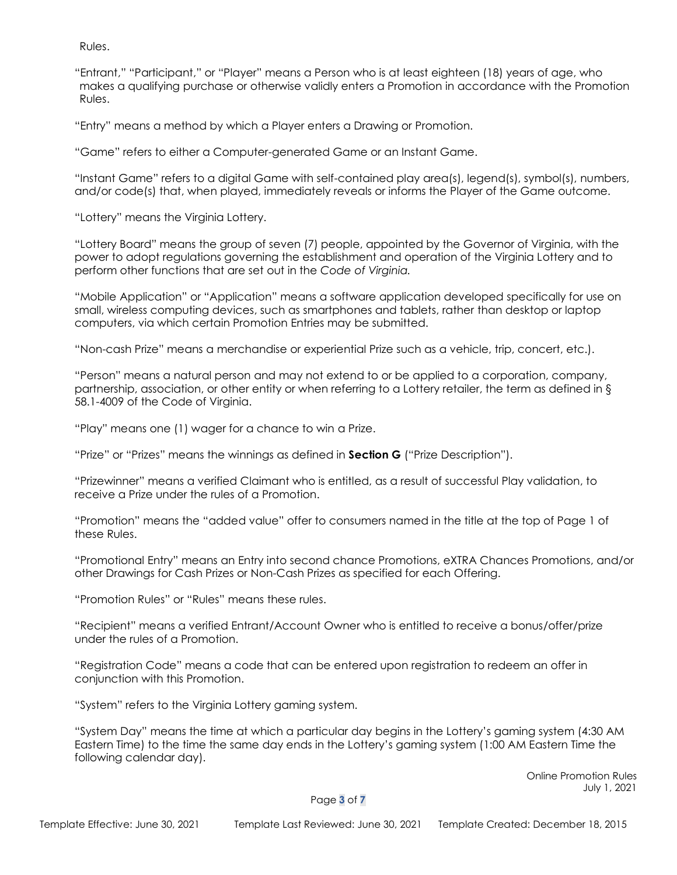Rules.

"Entrant," "Participant," or "Player" means a Person who is at least eighteen (18) years of age, who makes a qualifying purchase or otherwise validly enters a Promotion in accordance with the Promotion Rules.

"Entry" means a method by which a Player enters a Drawing or Promotion.

"Game" refers to either a Computer-generated Game or an Instant Game.

"Instant Game" refers to a digital Game with self-contained play area(s), legend(s), symbol(s), numbers, and/or code(s) that, when played, immediately reveals or informs the Player of the Game outcome.

"Lottery" means the Virginia Lottery.

"Lottery Board" means the group of seven (7) people, appointed by the Governor of Virginia, with the power to adopt regulations governing the establishment and operation of the Virginia Lottery and to perform other functions that are set out in the *Code of Virginia.*

"Mobile Application" or "Application" means a software application developed specifically for use on small, wireless computing devices, such as smartphones and tablets, rather than desktop or laptop computers, via which certain Promotion Entries may be submitted.

"Non-cash Prize" means a merchandise or experiential Prize such as a vehicle, trip, concert, etc.).

"Person" means a natural person and may not extend to or be applied to a corporation, company, partnership, association, or other entity or when referring to a Lottery retailer, the term as defined in § 58.1-4009 of the Code of Virginia.

"Play" means one (1) wager for a chance to win a Prize.

"Prize" or "Prizes" means the winnings as defined in **Section G** ("Prize Description").

"Prizewinner" means a verified Claimant who is entitled, as a result of successful Play validation, to receive a Prize under the rules of a Promotion.

"Promotion" means the "added value" offer to consumers named in the title at the top of Page 1 of these Rules.

"Promotional Entry" means an Entry into second chance Promotions, eXTRA Chances Promotions, and/or other Drawings for Cash Prizes or Non-Cash Prizes as specified for each Offering.

"Promotion Rules" or "Rules" means these rules.

"Recipient" means a verified Entrant/Account Owner who is entitled to receive a bonus/offer/prize under the rules of a Promotion.

"Registration Code" means a code that can be entered upon registration to redeem an offer in conjunction with this Promotion.

"System" refers to the Virginia Lottery gaming system.

"System Day" means the time at which a particular day begins in the Lottery's gaming system (4:30 AM Eastern Time) to the time the same day ends in the Lottery's gaming system (1:00 AM Eastern Time the following calendar day).

> Online Promotion Rules July 1, 2021

Page **3** of **7**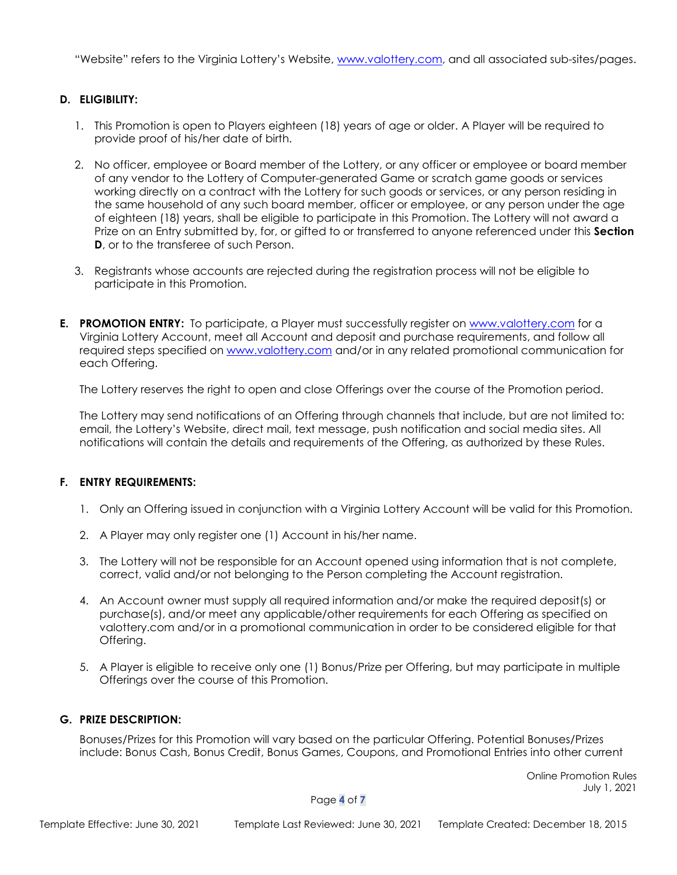"Website" refers to the Virginia Lottery's Website, [www.valottery.com,](http://www.valottery.com/) and all associated sub-sites/pages.

## **D. ELIGIBILITY:**

- 1. This Promotion is open to Players eighteen (18) years of age or older. A Player will be required to provide proof of his/her date of birth.
- 2. No officer, employee or Board member of the Lottery, or any officer or employee or board member of any vendor to the Lottery of Computer-generated Game or scratch game goods or services working directly on a contract with the Lottery for such goods or services, or any person residing in the same household of any such board member, officer or employee, or any person under the age of eighteen (18) years, shall be eligible to participate in this Promotion. The Lottery will not award a Prize on an Entry submitted by, for, or gifted to or transferred to anyone referenced under this **Section D**, or to the transferee of such Person.
- 3. Registrants whose accounts are rejected during the registration process will not be eligible to participate in this Promotion.
- **E. PROMOTION ENTRY:** To participate, a Player must successfully register on [www.valottery.com](http://www.valottery.com/) for a Virginia Lottery Account, meet all Account and deposit and purchase requirements, and follow all required steps specified on [www.valottery.com](http://www.valottery.com/) and/or in any related promotional communication for each Offering.

The Lottery reserves the right to open and close Offerings over the course of the Promotion period.

The Lottery may send notifications of an Offering through channels that include, but are not limited to: email, the Lottery's Website, direct mail, text message, push notification and social media sites. All notifications will contain the details and requirements of the Offering, as authorized by these Rules.

#### **F. ENTRY REQUIREMENTS:**

- 1. Only an Offering issued in conjunction with a Virginia Lottery Account will be valid for this Promotion.
- 2. A Player may only register one (1) Account in his/her name.
- 3. The Lottery will not be responsible for an Account opened using information that is not complete, correct, valid and/or not belonging to the Person completing the Account registration.
- 4. An Account owner must supply all required information and/or make the required deposit(s) or purchase(s), and/or meet any applicable/other requirements for each Offering as specified on valottery.com and/or in a promotional communication in order to be considered eligible for that Offering.
- 5. A Player is eligible to receive only one (1) Bonus/Prize per Offering, but may participate in multiple Offerings over the course of this Promotion.

#### **G. PRIZE DESCRIPTION:**

Bonuses/Prizes for this Promotion will vary based on the particular Offering. Potential Bonuses/Prizes include: Bonus Cash, Bonus Credit, Bonus Games, Coupons, and Promotional Entries into other current

> Online Promotion Rules July 1, 2021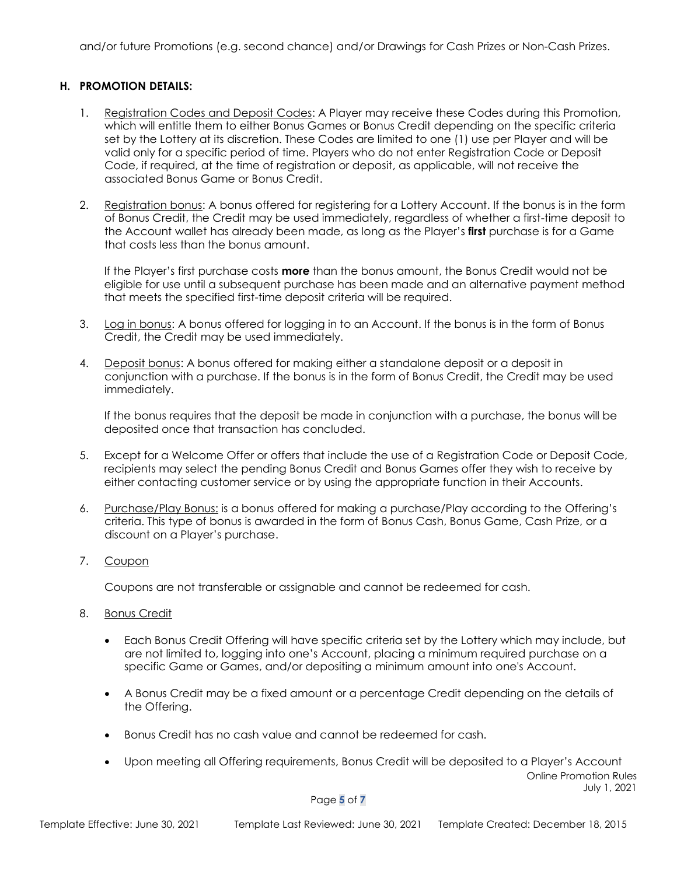and/or future Promotions (e.g. second chance) and/or Drawings for Cash Prizes or Non-Cash Prizes.

#### **H. PROMOTION DETAILS:**

- 1. Registration Codes and Deposit Codes: A Player may receive these Codes during this Promotion, which will entitle them to either Bonus Games or Bonus Credit depending on the specific criteria set by the Lottery at its discretion. These Codes are limited to one (1) use per Player and will be valid only for a specific period of time. Players who do not enter Registration Code or Deposit Code, if required, at the time of registration or deposit, as applicable, will not receive the associated Bonus Game or Bonus Credit.
- 2. Registration bonus: A bonus offered for registering for a Lottery Account. If the bonus is in the form of Bonus Credit, the Credit may be used immediately, regardless of whether a first-time deposit to the Account wallet has already been made, as long as the Player's **first** purchase is for a Game that costs less than the bonus amount.

If the Player's first purchase costs **more** than the bonus amount, the Bonus Credit would not be eligible for use until a subsequent purchase has been made and an alternative payment method that meets the specified first-time deposit criteria will be required.

- 3. Log in bonus: A bonus offered for logging in to an Account. If the bonus is in the form of Bonus Credit, the Credit may be used immediately.
- 4. Deposit bonus: A bonus offered for making either a standalone deposit or a deposit in conjunction with a purchase. If the bonus is in the form of Bonus Credit, the Credit may be used immediately.

If the bonus requires that the deposit be made in conjunction with a purchase, the bonus will be deposited once that transaction has concluded.

- 5. Except for a Welcome Offer or offers that include the use of a Registration Code or Deposit Code, recipients may select the pending Bonus Credit and Bonus Games offer they wish to receive by either contacting customer service or by using the appropriate function in their Accounts.
- 6. Purchase/Play Bonus: is a bonus offered for making a purchase/Play according to the Offering's criteria. This type of bonus is awarded in the form of Bonus Cash, Bonus Game, Cash Prize, or a discount on a Player's purchase.
- 7. Coupon

Coupons are not transferable or assignable and cannot be redeemed for cash.

- 8. Bonus Credit
	- Each Bonus Credit Offering will have specific criteria set by the Lottery which may include, but are not limited to, logging into one's Account, placing a minimum required purchase on a specific Game or Games, and/or depositing a minimum amount into one's Account.
	- A Bonus Credit may be a fixed amount or a percentage Credit depending on the details of the Offering.
	- Bonus Credit has no cash value and cannot be redeemed for cash.
	- Online Promotion Rules July 1, 2021 • Upon meeting all Offering requirements, Bonus Credit will be deposited to a Player's Account

Page **5** of **7**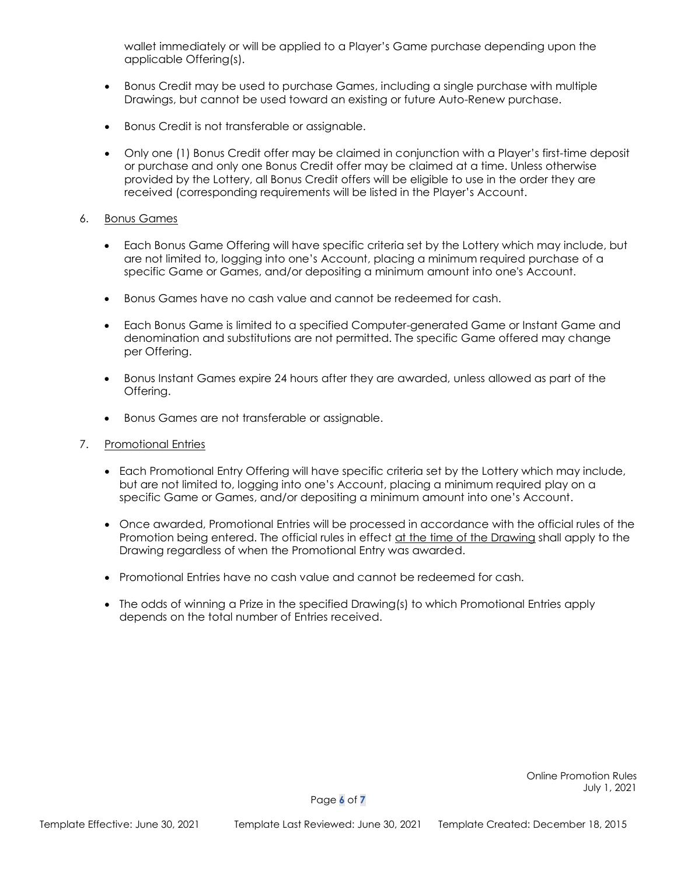wallet immediately or will be applied to a Player's Game purchase depending upon the applicable Offering(s).

- Bonus Credit may be used to purchase Games, including a single purchase with multiple Drawings, but cannot be used toward an existing or future Auto-Renew purchase.
- Bonus Credit is not transferable or assignable.
- Only one (1) Bonus Credit offer may be claimed in conjunction with a Player's first-time deposit or purchase and only one Bonus Credit offer may be claimed at a time. Unless otherwise provided by the Lottery, all Bonus Credit offers will be eligible to use in the order they are received (corresponding requirements will be listed in the Player's Account.

#### 6. Bonus Games

- Each Bonus Game Offering will have specific criteria set by the Lottery which may include, but are not limited to, logging into one's Account, placing a minimum required purchase of a specific Game or Games, and/or depositing a minimum amount into one's Account.
- Bonus Games have no cash value and cannot be redeemed for cash.
- Each Bonus Game is limited to a specified Computer-generated Game or Instant Game and denomination and substitutions are not permitted. The specific Game offered may change per Offering.
- Bonus Instant Games expire 24 hours after they are awarded, unless allowed as part of the Offering.
- Bonus Games are not transferable or assignable.
- 7. Promotional Entries
	- Each Promotional Entry Offering will have specific criteria set by the Lottery which may include, but are not limited to, logging into one's Account, placing a minimum required play on a specific Game or Games, and/or depositing a minimum amount into one's Account.
	- Once awarded, Promotional Entries will be processed in accordance with the official rules of the Promotion being entered. The official rules in effect at the time of the Drawing shall apply to the Drawing regardless of when the Promotional Entry was awarded.
	- Promotional Entries have no cash value and cannot be redeemed for cash.
	- The odds of winning a Prize in the specified Drawing(s) to which Promotional Entries apply depends on the total number of Entries received.